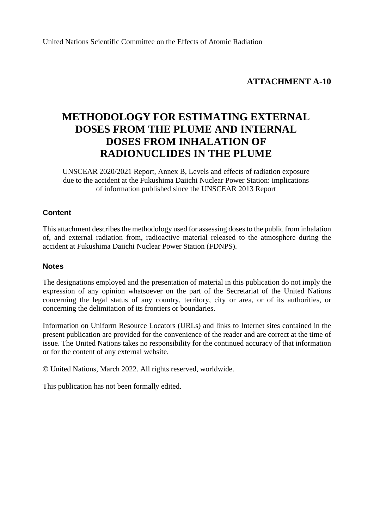# **ATTACHMENT A-10**

# **METHODOLOGY FOR ESTIMATING EXTERNAL DOSES FROM THE PLUME AND INTERNAL DOSES FROM INHALATION OF RADIONUCLIDES IN THE PLUME**

UNSCEAR 2020/2021 Report, Annex B, Levels and effects of radiation exposure due to the accident at the Fukushima Daiichi Nuclear Power Station: implications of information published since the UNSCEAR 2013 Report

### **Content**

This attachment describes the methodology used for assessing doses to the public from inhalation of, and external radiation from, radioactive material released to the atmosphere during the accident at Fukushima Daiichi Nuclear Power Station (FDNPS).

### **Notes**

The designations employed and the presentation of material in this publication do not imply the expression of any opinion whatsoever on the part of the Secretariat of the United Nations concerning the legal status of any country, territory, city or area, or of its authorities, or concerning the delimitation of its frontiers or boundaries.

Information on Uniform Resource Locators (URLs) and links to Internet sites contained in the present publication are provided for the convenience of the reader and are correct at the time of issue. The United Nations takes no responsibility for the continued accuracy of that information or for the content of any external website.

© United Nations, March 2022. All rights reserved, worldwide.

This publication has not been formally edited.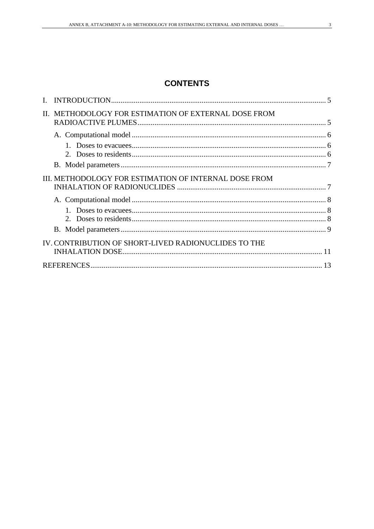| II. METHODOLOGY FOR ESTIMATION OF EXTERNAL DOSE FROM  |  |
|-------------------------------------------------------|--|
|                                                       |  |
|                                                       |  |
|                                                       |  |
|                                                       |  |
| III. METHODOLOGY FOR ESTIMATION OF INTERNAL DOSE FROM |  |
|                                                       |  |
|                                                       |  |
|                                                       |  |
|                                                       |  |
| IV. CONTRIBUTION OF SHORT-LIVED RADIONUCLIDES TO THE  |  |
|                                                       |  |
|                                                       |  |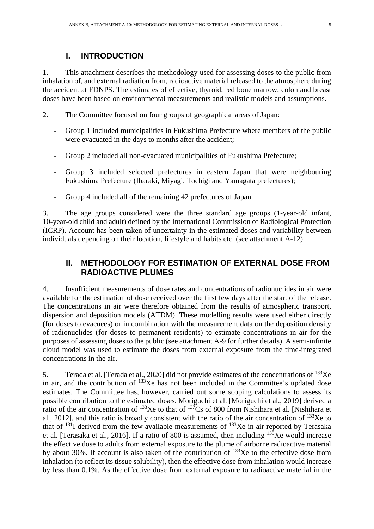# **I. INTRODUCTION**

1. This attachment describes the methodology used for assessing doses to the public from inhalation of, and external radiation from, radioactive material released to the atmosphere during the accident at FDNPS. The estimates of effective, thyroid, red bone marrow, colon and breast doses have been based on environmental measurements and realistic models and assumptions.

- 2. The Committee focused on four groups of geographical areas of Japan:
	- Group 1 included municipalities in Fukushima Prefecture where members of the public were evacuated in the days to months after the accident;
	- Group 2 included all non-evacuated municipalities of Fukushima Prefecture;
	- Group 3 included selected prefectures in eastern Japan that were neighbouring Fukushima Prefecture (Ibaraki, Miyagi, Tochigi and Yamagata prefectures);
	- Group 4 included all of the remaining 42 prefectures of Japan.

3. The age groups considered were the three standard age groups (1-year-old infant, 10-year-old child and adult) defined by the International Commission of Radiological Protection (ICRP). Account has been taken of uncertainty in the estimated doses and variability between individuals depending on their location, lifestyle and habits etc. (see attachment A-12).

# **II. METHODOLOGY FOR ESTIMATION OF EXTERNAL DOSE FROM RADIOACTIVE PLUMES**

4. Insufficient measurements of dose rates and concentrations of radionuclides in air were available for the estimation of dose received over the first few days after the start of the release. The concentrations in air were therefore obtained from the results of atmospheric transport, dispersion and deposition models (ATDM). These modelling results were used either directly (for doses to evacuees) or in combination with the measurement data on the deposition density of radionuclides (for doses to permanent residents) to estimate concentrations in air for the purposes of assessing doses to the public (see attachment A-9 for further details). A semi-infinite cloud model was used to estimate the doses from external exposure from the time-integrated concentrations in the air.

5. Terada et al. [Terada et al., 2020] did not provide estimates of the concentrations of <sup>133</sup>Xe in air, and the contribution of  $133Xe$  has not been included in the Committee's updated dose estimates. The Committee has, however, carried out some scoping calculations to assess its possible contribution to the estimated doses. Moriguchi et al. [Moriguchi et al., 2019] derived a ratio of the air concentration of  $^{133}$ Xe to that of  $^{137}$ Cs of 800 from Nishihara et al. [Nishihara et al., 2012], and this ratio is broadly consistent with the ratio of the air concentration of 133Xe to that of  $131$ I derived from the few available measurements of  $133$ Xe in air reported by Terasaka et al. [Terasaka et al., 2016]. If a ratio of 800 is assumed, then including  $^{133}Xe$  would increase the effective dose to adults from external exposure to the plume of airborne radioactive material by about 30%. If account is also taken of the contribution of 133Xe to the effective dose from inhalation (to reflect its tissue solubility), then the effective dose from inhalation would increase by less than 0.1%. As the effective dose from external exposure to radioactive material in the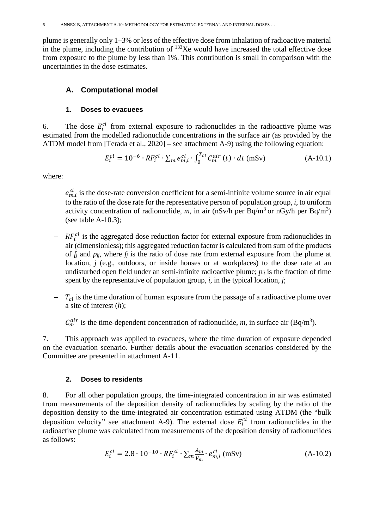plume is generally only 1–3% or less of the effective dose from inhalation of radioactive material in the plume, including the contribution of  $^{133}$ Xe would have increased the total effective dose from exposure to the plume by less than 1%. This contribution is small in comparison with the uncertainties in the dose estimates.

# **A. Computational model**

### **1. Doses to evacuees**

6. The dose  $E_i^{cl}$  from external exposure to radionuclides in the radioactive plume was estimated from the modelled radionuclide concentrations in the surface air (as provided by the ATDM model from [Terada et al., 2020] – see attachment A-9) using the following equation:

$$
E_i^{cl} = 10^{-6} \cdot RF_i^{cl} \cdot \sum_m e_{m,i}^{cl} \cdot \int_0^{T_{cl}} C_m^{air}(t) \cdot dt \text{ (mSv)} \tag{A-10.1}
$$

where:

- $e_{m,i}^{cl}$  is the dose-rate conversion coefficient for a semi-infinite volume source in air equal to the ratio of the dose rate for the representative person of population group, *i*, to uniform activity concentration of radionuclide, m, in air (nSv/h per Bq/m<sup>3</sup> or nGy/h per Bq/m<sup>3</sup>) (see table A-10.3);
- $R F_i^{cl}$  is the aggregated dose reduction factor for external exposure from radionuclides in air (dimensionless); this aggregated reduction factor is calculated from sum of the products of *fj* and *pij*, where *fj* is the ratio of dose rate from external exposure from the plume at location, *j* (e.g., outdoors, or inside houses or at workplaces) to the dose rate at an undisturbed open field under an semi-infinite radioactive plume;  $p_{ij}$  is the fraction of time spent by the representative of population group, *i*, in the typical location, *j*;
- $T_{cl}$  is the time duration of human exposure from the passage of a radioactive plume over a site of interest (*h*);
- −  $C_m^{air}$  is the time-dependent concentration of radionuclide, *m*, in surface air (Bq/m<sup>3</sup>).

7. This approach was applied to evacuees, where the time duration of exposure depended on the evacuation scenario. Further details about the evacuation scenarios considered by the Committee are presented in attachment A-11.

### **2. Doses to residents**

8. For all other population groups, the time-integrated concentration in air was estimated from measurements of the deposition density of radionuclides by scaling by the ratio of the deposition density to the time-integrated air concentration estimated using ATDM (the "bulk deposition velocity" see attachment A-9). The external dose  $E_i^{cl}$  from radionuclides in the radioactive plume was calculated from measurements of the deposition density of radionuclides as follows:

$$
E_i^{cl} = 2.8 \cdot 10^{-10} \cdot RF_i^{cl} \cdot \sum_m \frac{A_m}{v_m} \cdot e_{m,i}^{cl} \text{ (mSv)} \tag{A-10.2}
$$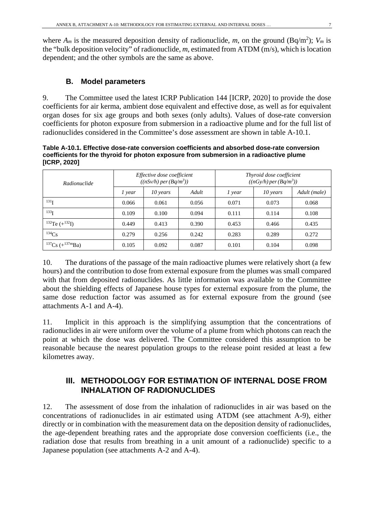where  $A_m$  is the measured deposition density of radionuclide, m, on the ground (Bq/m<sup>2</sup>);  $V_m$  is the "bulk deposition velocity" of radionuclide, *m*, estimated from ATDM (m/s), which is location dependent; and the other symbols are the same as above.

# **B. Model parameters**

9. The Committee used the latest ICRP Publication 144 [ICRP, 2020] to provide the dose coefficients for air kerma, ambient dose equivalent and effective dose, as well as for equivalent organ doses for six age groups and both sexes (only adults). Values of dose-rate conversion coefficients for photon exposure from submersion in a radioactive plume and for the full list of radionuclides considered in the Committee's dose assessment are shown in table A-10.1.

**Table A-10.1. Effective dose-rate conversion coefficients and absorbed dose-rate conversion coefficients for the thyroid for photon exposure from submersion in a radioactive plume [ICRP, 2020]**

| Radionuclide                |        | Effective dose coefficient<br>((nSv/h) per (Bq/m <sup>3</sup> )) |       | Thyroid dose coefficient<br>((nGy/h) per (Bq/m <sup>3</sup> )) |            |              |  |
|-----------------------------|--------|------------------------------------------------------------------|-------|----------------------------------------------------------------|------------|--------------|--|
|                             | 1 year | 10 years                                                         | Adult | 1 year                                                         | $10$ years | Adult (male) |  |
| 131 <sub>I</sub><br>0.066   |        | 0.061                                                            | 0.056 | 0.071                                                          | 0.073      | 0.068        |  |
| $133$ <sup>T</sup><br>0.109 |        | 0.100                                                            | 0.094 | 0.111                                                          | 0.114      | 0.108        |  |
| $^{132}$ Te $(+^{132}I)$    | 0.449  | 0.413                                                            | 0.390 | 0.453                                                          | 0.466      | 0.435        |  |
| $134C_S$                    | 0.279  | 0.256                                                            | 0.242 | 0.283                                                          | 0.289      | 0.272        |  |
| $137Cs (+137mBa)$           | 0.105  | 0.092                                                            | 0.087 | 0.101                                                          | 0.104      | 0.098        |  |

10. The durations of the passage of the main radioactive plumes were relatively short (a few hours) and the contribution to dose from external exposure from the plumes was small compared with that from deposited radionuclides. As little information was available to the Committee about the shielding effects of Japanese house types for external exposure from the plume, the same dose reduction factor was assumed as for external exposure from the ground (see attachments A-1 and A-4).

11. Implicit in this approach is the simplifying assumption that the concentrations of radionuclides in air were uniform over the volume of a plume from which photons can reach the point at which the dose was delivered. The Committee considered this assumption to be reasonable because the nearest population groups to the release point resided at least a few kilometres away.

# **III. METHODOLOGY FOR ESTIMATION OF INTERNAL DOSE FROM INHALATION OF RADIONUCLIDES**

12. The assessment of dose from the inhalation of radionuclides in air was based on the concentrations of radionuclides in air estimated using ATDM (see attachment A-9), either directly or in combination with the measurement data on the deposition density of radionuclides, the age-dependent breathing rates and the appropriate dose conversion coefficients (i.e., the radiation dose that results from breathing in a unit amount of a radionuclide) specific to a Japanese population (see attachments A-2 and A-4).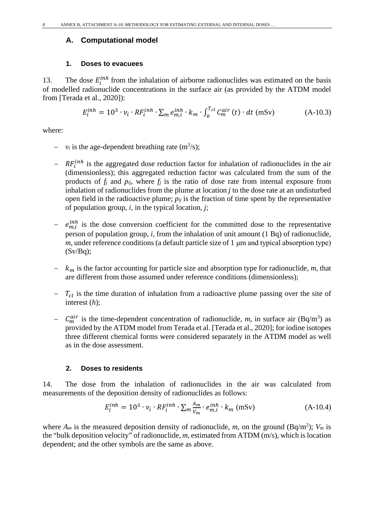#### **A. Computational model**

#### **1. Doses to evacuees**

13. The dose  $E_i^{inh}$  from the inhalation of airborne radionuclides was estimated on the basis of modelled radionuclide concentrations in the surface air (as provided by the ATDM model from [Terada et al., 2020]):

$$
E_i^{inh} = 10^3 \cdot \nu_i \cdot RF_i^{inh} \cdot \sum_m e_{m,i}^{inh} \cdot k_m \cdot \int_0^{T_{cl}} C_m^{air}(t) \cdot dt \text{ (mSv)} \tag{A-10.3}
$$

where:

- $-$  v<sub>i</sub> is the age-dependent breathing rate (m<sup>3</sup>/s);
- $R F_i^{inh}$  is the aggregated dose reduction factor for inhalation of radionuclides in the air (dimensionless); this aggregated reduction factor was calculated from the sum of the products of *fj* and *pij*, where *fj* is the ratio of dose rate from internal exposure from inhalation of radionuclides from the plume at location *j* to the dose rate at an undisturbed open field in the radioactive plume;  $p_{ij}$  is the fraction of time spent by the representative of population group, *i*, in the typical location, *j*;
- $e_{m,i}^{inh}$  is the dose conversion coefficient for the committed dose to the representative person of population group, *i*, from the inhalation of unit amount (1 Bq) of radionuclide, *m*, under reference conditions (a default particle size of 1 μm and typical absorption type)  $(Sv/Bq)$ ;
- $k<sub>m</sub>$  is the factor accounting for particle size and absorption type for radionuclide,  $m$ , that are different from those assumed under reference conditions (dimensionless);
- $T_{cl}$  is the time duration of inhalation from a radioactive plume passing over the site of interest (*h*);
- $C_m^{air}$  is the time-dependent concentration of radionuclide, *m*, in surface air (Bq/m<sup>3</sup>) as provided by the ATDM model from Terada et al. [Terada et al., 2020]; for iodine isotopes three different chemical forms were considered separately in the ATDM model as well as in the dose assessment.

#### **2. Doses to residents**

14. The dose from the inhalation of radionuclides in the air was calculated from measurements of the deposition density of radionuclides as follows:

$$
E_i^{inh} = 10^3 \cdot \nu_i \cdot RF_i^{inh} \cdot \sum_m \frac{A_m}{\nu_m} \cdot e_{m,i}^{inh} \cdot k_m \text{ (mSv)} \tag{A-10.4}
$$

where  $A_m$  is the measured deposition density of radionuclide, m, on the ground (Bq/m<sup>2</sup>);  $V_m$  is the "bulk deposition velocity" of radionuclide, *m*, estimated from ATDM (m/s), which is location dependent; and the other symbols are the same as above.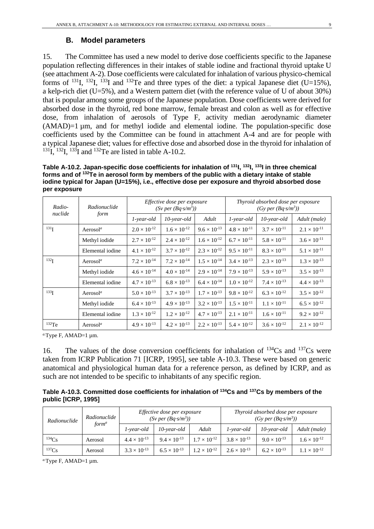#### **B. Model parameters**

15. The Committee has used a new model to derive dose coefficients specific to the Japanese population reflecting differences in their intakes of stable iodine and fractional thyroid uptake U (see attachment A-2). Dose coefficients were calculated for inhalation of various physico-chemical forms of <sup>131</sup>I, <sup>132</sup>I, <sup>133</sup>I and <sup>132</sup>Te and three types of the diet: a typical Japanese diet (U=15%), a kelp-rich diet (U=5%), and a Western pattern diet (with the reference value of U of about 30%) that is popular among some groups of the Japanese population. Dose coefficients were derived for absorbed dose in the thyroid, red bone marrow, female breast and colon as well as for effective dose, from inhalation of aerosols of Type F, activity median aerodynamic diameter (AMAD)=1 µm, and for methyl iodide and elemental iodine. The population-specific dose coefficients used by the Committee can be found in attachment A-4 and are for people with a typical Japanese diet; values for effective dose and absorbed dose in the thyroid for inhalation of  $131$ I,  $132$ I,  $133$ I and  $132$ Te are listed in table A-10.2.

**Table A-10.2. Japan-specific dose coefficients for inhalation of 131I, 132I, 133I in three chemical forms and of 132Te in aerosol form by members of the public with a dietary intake of stable iodine typical for Japan (U=15%), i.e., effective dose per exposure and thyroid absorbed dose per exposure**

| Radio-           | Radionuclide         | <i>Effective dose per exposure</i><br>$(Sv \text{ per } (Bq\text{-}s/m^3))$ |                       |                       |                       | Thyroid absorbed dose per exposure<br>(Gy per (Bq·s/m <sup>3</sup> )) |                       |
|------------------|----------------------|-----------------------------------------------------------------------------|-----------------------|-----------------------|-----------------------|-----------------------------------------------------------------------|-----------------------|
| nuclide          | form                 | $1$ -year-old                                                               | $10$ -year-old        | Adult                 | $1$ -year-old         | $10$ -year-old                                                        | Adult (male)          |
| 131 <sub>I</sub> | Aerosol <sup>a</sup> | $2.0 \times 10^{-12}$                                                       | $1.6 \times 10^{-12}$ | $9.6 \times 10^{-13}$ | $4.8 \times 10^{-11}$ | $3.7 \times 10^{-11}$                                                 | $2.1 \times 10^{-11}$ |
|                  | Methyl iodide        | $2.7 \times 10^{-12}$                                                       | $2.4 \times 10^{-12}$ | $1.6 \times 10^{-12}$ | $6.7 \times 10^{-11}$ | $5.8 \times 10^{-11}$                                                 | $3.6 \times 10^{-11}$ |
|                  | Elemental iodine     | $4.1 \times 10^{-12}$                                                       | $3.7 \times 10^{-12}$ | $2.3 \times 10^{-12}$ | $9.5 \times 10^{-11}$ | $8.3 \times 10^{-11}$                                                 | $5.1 \times 10^{-11}$ |
| 132 <sub>I</sub> | Aerosol <sup>a</sup> | $7.2 \times 10^{-14}$                                                       | $7.2 \times 10^{-14}$ | $1.5 \times 10^{-14}$ | $3.4 \times 10^{-13}$ | $2.3 \times 10^{-13}$                                                 | $1.3 \times 10^{-13}$ |
|                  | Methyl iodide        | $4.6 \times 10^{-14}$                                                       | $4.0 \times 10^{-14}$ | $2.9 \times 10^{-14}$ | $7.9 \times 10^{-13}$ | $5.9 \times 10^{-13}$                                                 | $3.5 \times 10^{-13}$ |
|                  | Elemental iodine     | $4.7 \times 10^{-13}$                                                       | $6.8 \times 10^{-13}$ | $6.4 \times 10^{-14}$ | $1.0 \times 10^{-12}$ | $7.4 \times 10^{-13}$                                                 | $4.4 \times 10^{-13}$ |
| 133 <sub>T</sub> | Aerosol <sup>a</sup> | $5.0 \times 10^{-13}$                                                       | $3.7 \times 10^{-13}$ | $1.7 \times 10^{-13}$ | $9.8 \times 10^{-12}$ | $6.3 \times 10^{-12}$                                                 | $3.5 \times 10^{-12}$ |
|                  | Methyl iodide        | $6.4 \times 10^{-13}$                                                       | $4.9 \times 10^{-13}$ | $3.2 \times 10^{-13}$ | $1.5 \times 10^{-11}$ | $1.1 \times 10^{-11}$                                                 | $6.5 \times 10^{-12}$ |
|                  | Elemental iodine     | $1.3 \times 10^{-12}$                                                       | $1.2 \times 10^{-12}$ | $4.7 \times 10^{-13}$ | $2.1 \times 10^{-11}$ | $1.6 \times 10^{-11}$                                                 | $9.2 \times 10^{-12}$ |
| $132$ Te         | Aerosol <sup>a</sup> | $4.9 \times 10^{-13}$                                                       | $4.2 \times 10^{-13}$ | $2.2 \times 10^{-13}$ | $5.4 \times 10^{-12}$ | $3.6 \times 10^{-12}$                                                 | $2.1 \times 10^{-12}$ |

*a*. Type F, AMAD=1 µm.

16. The values of the dose conversion coefficients for inhalation of  $^{134}Cs$  and  $^{137}Cs$  were taken from ICRP Publication 71 [ICRP, 1995], see table A-10.3. These were based on generic anatomical and physiological human data for a reference person, as defined by ICRP, and as such are not intended to be specific to inhabitants of any specific region.

**Table A-10.3. Committed dose coefficients for inhalation of 134Cs and 137Cs by members of the public [ICRP, 1995]**

| Radionuclide | Radionuclide      | <i>Effective dose per exposure</i><br>$(Sv \text{ per } (Bq\text{-}s/m^3))$ |                       |                       | Thyroid absorbed dose per exposure<br>(Gy per (Bq·s/m <sup>3</sup> )) |                       |                       |
|--------------|-------------------|-----------------------------------------------------------------------------|-----------------------|-----------------------|-----------------------------------------------------------------------|-----------------------|-----------------------|
|              | form <sup>a</sup> | 1-year-old                                                                  | $10$ -year-old        | Adult                 | 1-year-old                                                            | $10$ -vear-old        | Adult (male)          |
| 134Cs        | Aerosol           | $4.4 \times 10^{-13}$                                                       | $9.4 \times 10^{-13}$ | $1.7 \times 10^{-12}$ | $3.8 \times 10^{-13}$                                                 | $9.0 \times 10^{-13}$ | $1.6 \times 10^{-12}$ |
| $^{137}Cs$   | Aerosol           | $3.3 \times 10^{-13}$                                                       | $6.5 \times 10^{-13}$ | $1.2 \times 10^{-12}$ | $2.6 \times 10^{-13}$                                                 | $6.2 \times 10^{-13}$ | $1.1 \times 10^{-12}$ |

*a*. Type F, AMAD=1 µm.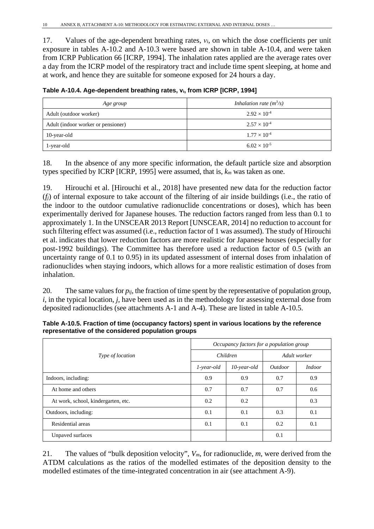17. Values of the age-dependent breathing rates, *νi*, on which the dose coefficients per unit exposure in tables A-10.2 and A-10.3 were based are shown in table A-10.4, and were taken from ICRP Publication 66 [ICRP, 1994]. The inhalation rates applied are the average rates over a day from the ICRP model of the respiratory tract and include time spent sleeping, at home and at work, and hence they are suitable for someone exposed for 24 hours a day.

| Age group                          | Inhalation rate $(m^3/s)$ |
|------------------------------------|---------------------------|
| Adult (outdoor worker)             | $2.92 \times 10^{-4}$     |
| Adult (indoor worker or pensioner) | $2.57 \times 10^{-4}$     |
| 10-year-old                        | $1.77 \times 10^{-4}$     |
| 1-year-old                         | $6.02 \times 10^{-5}$     |

**Table A-10.4. Age-dependent breathing rates, νi, from ICRP [ICRP, 1994]**

18. In the absence of any more specific information, the default particle size and absorption types specified by ICRP [ICRP, 1995] were assumed, that is, *km* was taken as one.

19. Hirouchi et al. [Hirouchi et al., 2018] have presented new data for the reduction factor (*fj*) of internal exposure to take account of the filtering of air inside buildings (i.e., the ratio of the indoor to the outdoor cumulative radionuclide concentrations or doses), which has been experimentally derived for Japanese houses. The reduction factors ranged from less than 0.1 to approximately 1. In the UNSCEAR 2013 Report [UNSCEAR, 2014] no reduction to account for such filtering effect was assumed (i.e., reduction factor of 1 was assumed). The study of Hirouchi et al. indicates that lower reduction factors are more realistic for Japanese houses (especially for post-1992 buildings). The Committee has therefore used a reduction factor of 0.5 (with an uncertainty range of 0.1 to 0.95) in its updated assessment of internal doses from inhalation of radionuclides when staying indoors, which allows for a more realistic estimation of doses from inhalation.

20. The same values for  $p_{ij}$ , the fraction of time spent by the representative of population group, *i*, in the typical location, *j*, have been used as in the methodology for assessing external dose from deposited radionuclides (see attachments A-1 and A-4). These are listed in table A-10.5.

**Table A-10.5. Fraction of time (occupancy factors) spent in various locations by the reference representative of the considered population groups**

|                                     | Occupancy factors for a population group |                |                       |               |  |  |  |
|-------------------------------------|------------------------------------------|----------------|-----------------------|---------------|--|--|--|
| <i>Type of location</i>             |                                          | Children       | Adult worker          |               |  |  |  |
|                                     | $1$ -year-old                            | $10$ -year-old | <i><u>Outdoor</u></i> | <i>Indoor</i> |  |  |  |
| Indoors, including:                 | 0.9                                      | 0.9            | 0.7                   | 0.9           |  |  |  |
| At home and others                  | 0.7                                      | 0.7            | 0.7                   | 0.6           |  |  |  |
| At work, school, kindergarten, etc. | 0.2                                      | 0.2            |                       | 0.3           |  |  |  |
| Outdoors, including:                | 0.1                                      | 0.1            | 0.3                   | 0.1           |  |  |  |
| Residential areas                   | 0.1                                      | 0.1            | 0.2                   | 0.1           |  |  |  |
| Unpaved surfaces                    |                                          |                | 0.1                   |               |  |  |  |

21. The values of "bulk deposition velocity", *Vm*, for radionuclide, *m*, were derived from the ATDM calculations as the ratios of the modelled estimates of the deposition density to the modelled estimates of the time-integrated concentration in air (see attachment A-9).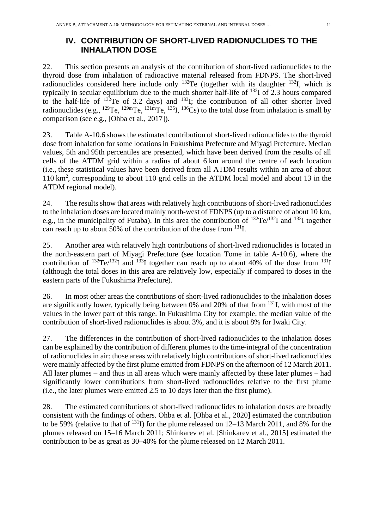# **IV. CONTRIBUTION OF SHORT-LIVED RADIONUCLIDES TO THE INHALATION DOSE**

22. This section presents an analysis of the contribution of short-lived radionuclides to the thyroid dose from inhalation of radioactive material released from FDNPS. The short-lived radionuclides considered here include only  $^{132}$ Te (together with its daughter  $^{132}$ I, which is typically in secular equilibrium due to the much shorter half-life of 132I of 2.3 hours compared to the half-life of  $132$ Te of 3.2 days) and  $133$ I; the contribution of all other shorter lived radionuclides (e.g.,  $^{129}$ Te,  $^{129m}$ Te,  $^{131m}$ Te,  $^{135}$ I,  $^{136}$ Cs) to the total dose from inhalation is small by comparison (see e.g., [Ohba et al., 2017]).

23. Table A-10.6 shows the estimated contribution of short-lived radionuclides to the thyroid dose from inhalation for some locations in Fukushima Prefecture and Miyagi Prefecture. Median values, 5th and 95th percentiles are presented, which have been derived from the results of all cells of the ATDM grid within a radius of about 6 km around the centre of each location (i.e., these statistical values have been derived from all ATDM results within an area of about 110 km<sup>2</sup> , corresponding to about 110 grid cells in the ATDM local model and about 13 in the ATDM regional model).

24. The results show that areas with relatively high contributions of short-lived radionuclides to the inhalation doses are located mainly north-west of FDNPS (up to a distance of about 10 km, e.g., in the municipality of Futaba). In this area the contribution of  $^{132}Te^{132}I$  and  $^{133}I$  together can reach up to about 50% of the contribution of the dose from 131I.

25. Another area with relatively high contributions of short-lived radionuclides is located in the north-eastern part of Miyagi Prefecture (see location Tome in table A-10.6), where the contribution of  $^{132}Te^{132}I$  and  $^{133}I$  together can reach up to about 40% of the dose from  $^{131}I$ (although the total doses in this area are relatively low, especially if compared to doses in the eastern parts of the Fukushima Prefecture).

26. In most other areas the contributions of short-lived radionuclides to the inhalation doses are significantly lower, typically being between 0% and 20% of that from  $131$ , with most of the values in the lower part of this range. In Fukushima City for example, the median value of the contribution of short-lived radionuclides is about 3%, and it is about 8% for Iwaki City.

27. The differences in the contribution of short-lived radionuclides to the inhalation doses can be explained by the contribution of different plumes to the time-integral of the concentration of radionuclides in air: those areas with relatively high contributions of short-lived radionuclides were mainly affected by the first plume emitted from FDNPS on the afternoon of 12 March 2011. All later plumes – and thus in all areas which were mainly affected by these later plumes – had significantly lower contributions from short-lived radionuclides relative to the first plume (i.e., the later plumes were emitted 2.5 to 10 days later than the first plume).

28. The estimated contributions of short-lived radionuclides to inhalation doses are broadly consistent with the findings of others. Ohba et al. [Ohba et al., 2020] estimated the contribution to be 59% (relative to that of 131I) for the plume released on 12–13 March 2011, and 8% for the plumes released on 15–16 March 2011; Shinkarev et al. [Shinkarev et al., 2015] estimated the contribution to be as great as 30–40% for the plume released on 12 March 2011.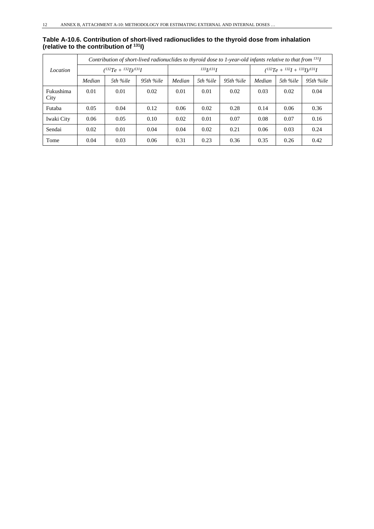#### **Table A-10.6. Contribution of short-lived radionuclides to the thyroid dose from inhalation (relative to the contribution of 131I)**

|                   | Contribution of short-lived radionuclides to thyroid dose to 1-year-old infants relative to that from $^{131}I$ |          |           |           |          |           |                                              |          |           |  |
|-------------------|-----------------------------------------------------------------------------------------------------------------|----------|-----------|-----------|----------|-----------|----------------------------------------------|----------|-----------|--|
| Location          | $(^{132}Te + {^{132}I})/^{131}I$                                                                                |          |           | 1331/1311 |          |           | $(^{132}Te + {^{132}I + {^{133}I}})/^{131}I$ |          |           |  |
|                   | Median                                                                                                          | 5th %ile | 95th %ile | Median    | 5th %ile | 95th %ile | Median                                       | 5th %ile | 95th %ile |  |
| Fukushima<br>City | 0.01                                                                                                            | 0.01     | 0.02      | 0.01      | 0.01     | 0.02      | 0.03                                         | 0.02     | 0.04      |  |
| Futaba            | 0.05                                                                                                            | 0.04     | 0.12      | 0.06      | 0.02     | 0.28      | 0.14                                         | 0.06     | 0.36      |  |
| Iwaki City        | 0.06                                                                                                            | 0.05     | 0.10      | 0.02      | 0.01     | 0.07      | 0.08                                         | 0.07     | 0.16      |  |
| Sendai            | 0.02                                                                                                            | 0.01     | 0.04      | 0.04      | 0.02     | 0.21      | 0.06                                         | 0.03     | 0.24      |  |
| Tome              | 0.04                                                                                                            | 0.03     | 0.06      | 0.31      | 0.23     | 0.36      | 0.35                                         | 0.26     | 0.42      |  |